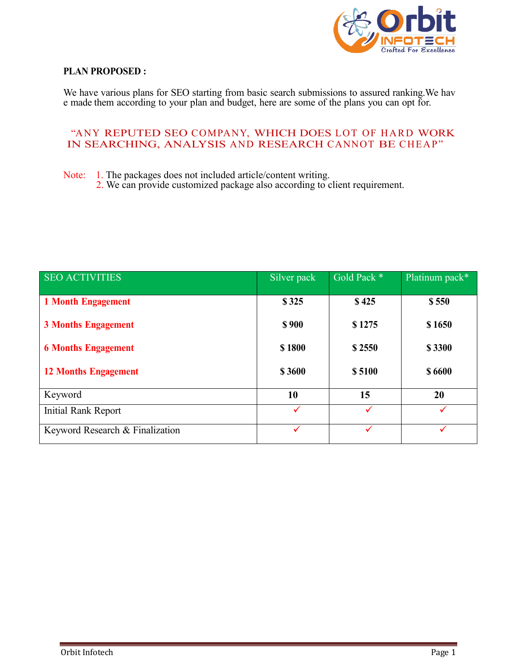

## **PLAN PROPOSED :**

We have various plans for SEO starting from basic search submissions to assured ranking.We hav e made them according to your plan and budget, here are some of the plans you can opt for.

## "ANY REPUTED SEO COMPANY, WHICH DOES LOT OF HARD WORK IN SEARCHING, ANALYSIS AND RESEARCH CANNOT BE CHEAP"

Note: 1. The packages does not included article/content writing.

2. We can provide customized package also according to client requirement.

| <b>SEO ACTIVITIES</b>           | Silver pack | Gold Pack * | Platinum pack* |  |
|---------------------------------|-------------|-------------|----------------|--|
| <b>1 Month Engagement</b>       | \$325       | \$425       | \$550          |  |
| <b>3 Months Engagement</b>      | \$900       | \$1275      | \$1650         |  |
| <b>6 Months Engagement</b>      | \$1800      | \$2550      | \$3300         |  |
| <b>12 Months Engagement</b>     | \$3600      | \$5100      | \$6600         |  |
|                                 |             |             |                |  |
| Keyword                         | 10          | 15          | 20             |  |
| <b>Initial Rank Report</b>      | ✓           | ✓           |                |  |
| Keyword Research & Finalization | ✓           | ✓           |                |  |